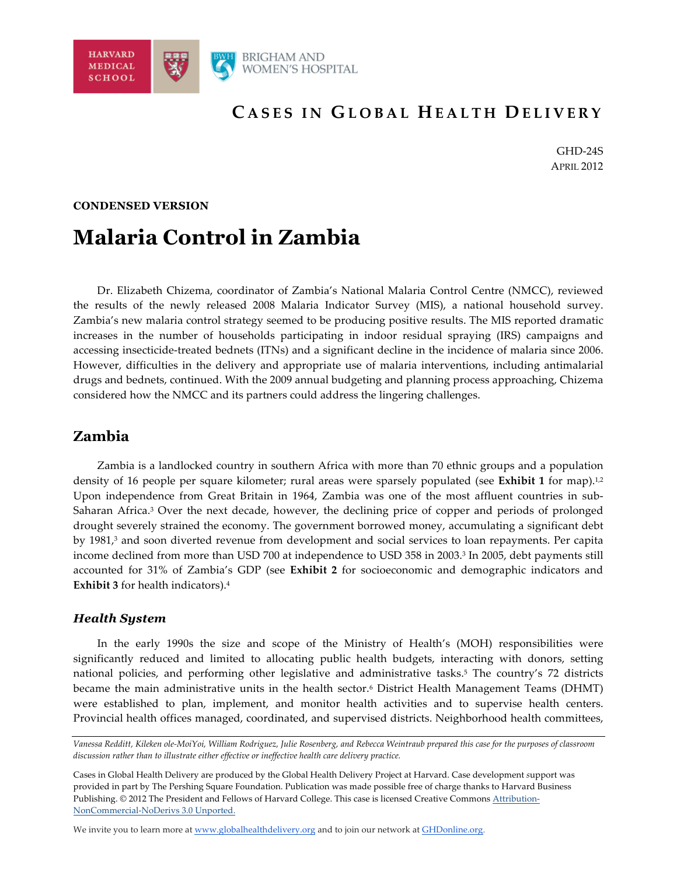

# **C ASES IN G LOBAL H EALTH D ELIVERY**

GHD-24S APRIL 2012

### **CONDENSED VERSION**

# **Malaria Control in Zambia**

Dr. Elizabeth Chizema, coordinator of Zambia's National Malaria Control Centre (NMCC), reviewed the results of the newly released 2008 Malaria Indicator Survey (MIS), a national household survey. Zambia's new malaria control strategy seemed to be producing positive results. The MIS reported dramatic increases in the number of households participating in indoor residual spraying (IRS) campaigns and accessing insecticide-treated bednets (ITNs) and a significant decline in the incidence of malaria since 2006. However, difficulties in the delivery and appropriate use of malaria interventions, including antimalarial drugs and bednets, continued. With the 2009 annual budgeting and planning process approaching, Chizema considered how the NMCC and its partners could address the lingering challenges.

### **Zambia**

Zambia is a landlocked country in southern Africa with more than 70 ethnic groups and a population density of 16 people per square kilometer; rural areas were sparsely populated (see **Exhibit 1** for map).<sup>1,2</sup> Upon independence from Great Britain in 1964, Zambia was one of the most affluent countries in sub-Saharan Africa.3 Over the next decade, however, the declining price of copper and periods of prolonged drought severely strained the economy. The government borrowed money, accumulating a significant debt by 1981,3 and soon diverted revenue from development and social services to loan repayments. Per capita income declined from more than USD 700 at independence to USD 358 in 2003.3 In 2005, debt payments still accounted for 31% of Zambia's GDP (see **Exhibit 2** for socioeconomic and demographic indicators and **Exhibit 3** for health indicators).4

### *Health System*

In the early 1990s the size and scope of the Ministry of Health's (MOH) responsibilities were significantly reduced and limited to allocating public health budgets, interacting with donors, setting national policies, and performing other legislative and administrative tasks.5 The country's 72 districts became the main administrative units in the health sector.6 District Health Management Teams (DHMT) were established to plan, implement, and monitor health activities and to supervise health centers. Provincial health offices managed, coordinated, and supervised districts. Neighborhood health committees,

We invite you to learn more at www.globalhealthdelivery.org and to join our network at GHDonline.org.

*Vanessa Redditt, Kileken ole-MoiYoi, William Rodriguez, Julie Rosenberg, and Rebecca Weintraub prepared this case for the purposes of classroom discussion rather than to illustrate either effective or ineffective health care delivery practice.* 

Cases in Global Health Delivery are produced by the Global Health Delivery Project at Harvard. Case development *s*upport was provided in part by The Pershing Square Foundation. Publication was made possible free of charge thanks to Harvard Business Publishing. © 2012 The President and Fellows of Harvard College. This case is licensed Creative Commons Attribution-NonCommercial-NoDerivs 3.0 Unported.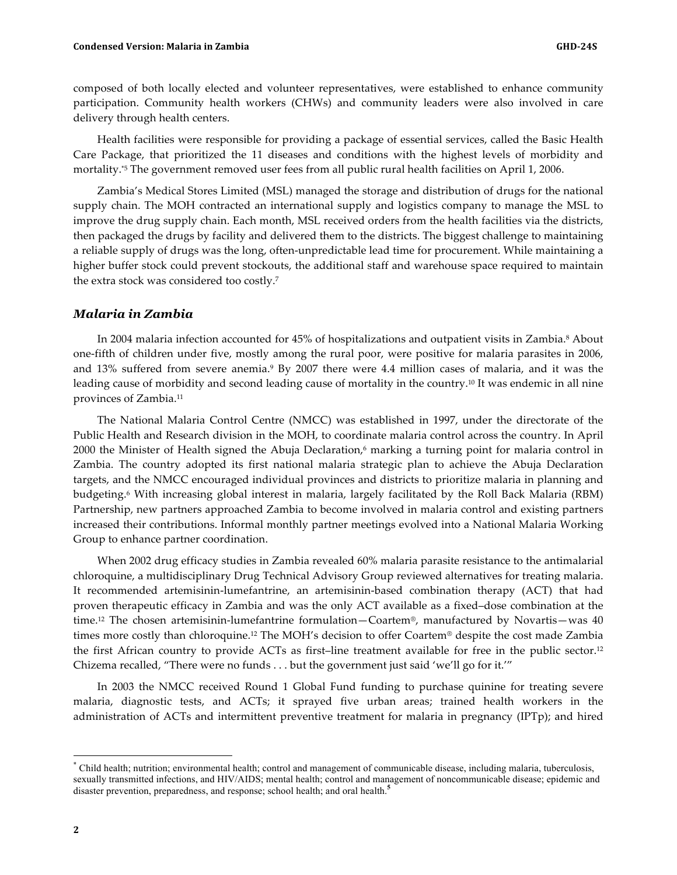composed of both locally elected and volunteer representatives, were established to enhance community participation. Community health workers (CHWs) and community leaders were also involved in care delivery through health centers.

Health facilities were responsible for providing a package of essential services, called the Basic Health Care Package, that prioritized the 11 diseases and conditions with the highest levels of morbidity and mortality.\*5 The government removed user fees from all public rural health facilities on April 1, 2006.

Zambia's Medical Stores Limited (MSL) managed the storage and distribution of drugs for the national supply chain. The MOH contracted an international supply and logistics company to manage the MSL to improve the drug supply chain. Each month, MSL received orders from the health facilities via the districts, then packaged the drugs by facility and delivered them to the districts. The biggest challenge to maintaining a reliable supply of drugs was the long, often-unpredictable lead time for procurement. While maintaining a higher buffer stock could prevent stockouts, the additional staff and warehouse space required to maintain the extra stock was considered too costly.7

### *Malaria in Zambia*

In 2004 malaria infection accounted for 45% of hospitalizations and outpatient visits in Zambia.8 About one-fifth of children under five, mostly among the rural poor, were positive for malaria parasites in 2006, and 13% suffered from severe anemia.9 By 2007 there were 4.4 million cases of malaria, and it was the leading cause of morbidity and second leading cause of mortality in the country.10 It was endemic in all nine provinces of Zambia.11

The National Malaria Control Centre (NMCC) was established in 1997, under the directorate of the Public Health and Research division in the MOH, to coordinate malaria control across the country. In April 2000 the Minister of Health signed the Abuja Declaration, $6$  marking a turning point for malaria control in Zambia. The country adopted its first national malaria strategic plan to achieve the Abuja Declaration targets, and the NMCC encouraged individual provinces and districts to prioritize malaria in planning and budgeting.6 With increasing global interest in malaria, largely facilitated by the Roll Back Malaria (RBM) Partnership, new partners approached Zambia to become involved in malaria control and existing partners increased their contributions. Informal monthly partner meetings evolved into a National Malaria Working Group to enhance partner coordination.

When 2002 drug efficacy studies in Zambia revealed 60% malaria parasite resistance to the antimalarial chloroquine, a multidisciplinary Drug Technical Advisory Group reviewed alternatives for treating malaria. It recommended artemisinin-lumefantrine, an artemisinin-based combination therapy (ACT) that had proven therapeutic efficacy in Zambia and was the only ACT available as a fixed–dose combination at the time.12 The chosen artemisinin-lumefantrine formulation—Coartem®, manufactured by Novartis—was 40 times more costly than chloroquine.12 The MOH's decision to offer Coartem® despite the cost made Zambia the first African country to provide ACTs as first–line treatment available for free in the public sector.<sup>12</sup> Chizema recalled, "There were no funds . . . but the government just said 'we'll go for it.'"

In 2003 the NMCC received Round 1 Global Fund funding to purchase quinine for treating severe malaria, diagnostic tests, and ACTs; it sprayed five urban areas; trained health workers in the administration of ACTs and intermittent preventive treatment for malaria in pregnancy (IPTp); and hired

 <sup>\*</sup> Child health; nutrition; environmental health; control and management of communicable disease, including malaria, tuberculosis, sexually transmitted infections, and HIV/AIDS; mental health; control and management of noncommunicable disease; epidemic and disaster prevention, preparedness, and response; school health; and oral health. **5**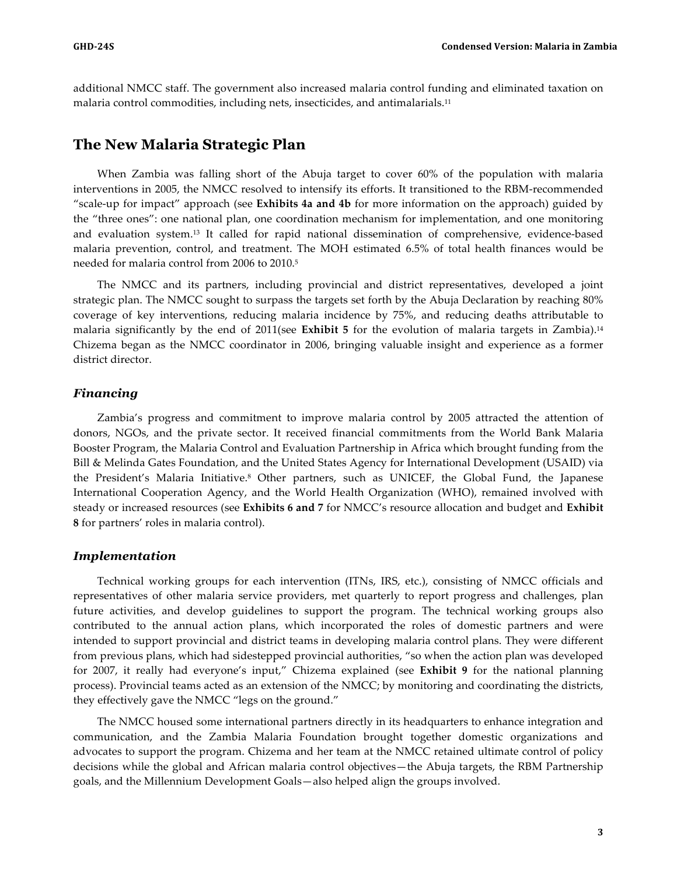additional NMCC staff. The government also increased malaria control funding and eliminated taxation on malaria control commodities, including nets, insecticides, and antimalarials.11

### **The New Malaria Strategic Plan**

When Zambia was falling short of the Abuja target to cover 60% of the population with malaria interventions in 2005, the NMCC resolved to intensify its efforts. It transitioned to the RBM-recommended "scale-up for impact" approach (see **Exhibits 4a and 4b** for more information on the approach) guided by the "three ones": one national plan, one coordination mechanism for implementation, and one monitoring and evaluation system.13 It called for rapid national dissemination of comprehensive, evidence-based malaria prevention, control, and treatment. The MOH estimated 6.5% of total health finances would be needed for malaria control from 2006 to 2010.5

The NMCC and its partners, including provincial and district representatives, developed a joint strategic plan. The NMCC sought to surpass the targets set forth by the Abuja Declaration by reaching 80% coverage of key interventions, reducing malaria incidence by 75%, and reducing deaths attributable to malaria significantly by the end of 2011(see **Exhibit 5** for the evolution of malaria targets in Zambia).14 Chizema began as the NMCC coordinator in 2006, bringing valuable insight and experience as a former district director.

### *Financing*

Zambia's progress and commitment to improve malaria control by 2005 attracted the attention of donors, NGOs, and the private sector. It received financial commitments from the World Bank Malaria Booster Program, the Malaria Control and Evaluation Partnership in Africa which brought funding from the Bill & Melinda Gates Foundation, and the United States Agency for International Development (USAID) via the President's Malaria Initiative.8 Other partners, such as UNICEF, the Global Fund, the Japanese International Cooperation Agency, and the World Health Organization (WHO), remained involved with steady or increased resources (see **Exhibits 6 and 7** for NMCC's resource allocation and budget and **Exhibit 8** for partners' roles in malaria control).

### *Implementation*

Technical working groups for each intervention (ITNs, IRS, etc.), consisting of NMCC officials and representatives of other malaria service providers, met quarterly to report progress and challenges, plan future activities, and develop guidelines to support the program. The technical working groups also contributed to the annual action plans, which incorporated the roles of domestic partners and were intended to support provincial and district teams in developing malaria control plans. They were different from previous plans, which had sidestepped provincial authorities, "so when the action plan was developed for 2007, it really had everyone's input," Chizema explained (see **Exhibit 9** for the national planning process). Provincial teams acted as an extension of the NMCC; by monitoring and coordinating the districts, they effectively gave the NMCC "legs on the ground."

The NMCC housed some international partners directly in its headquarters to enhance integration and communication, and the Zambia Malaria Foundation brought together domestic organizations and advocates to support the program. Chizema and her team at the NMCC retained ultimate control of policy decisions while the global and African malaria control objectives—the Abuja targets, the RBM Partnership goals, and the Millennium Development Goals—also helped align the groups involved.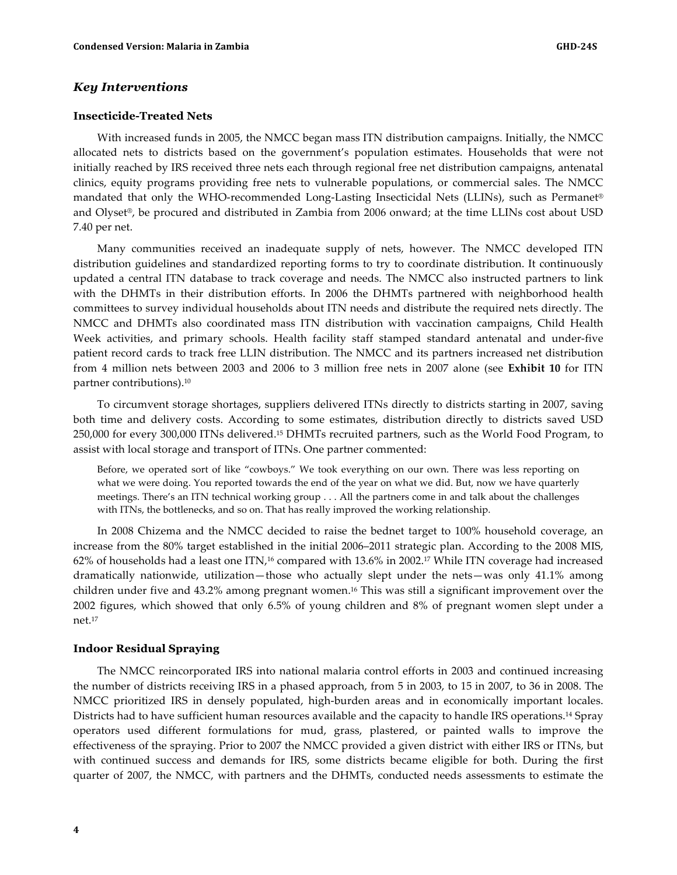### *Key Interventions*

#### **Insecticide-Treated Nets**

With increased funds in 2005, the NMCC began mass ITN distribution campaigns. Initially, the NMCC allocated nets to districts based on the government's population estimates. Households that were not initially reached by IRS received three nets each through regional free net distribution campaigns, antenatal clinics, equity programs providing free nets to vulnerable populations, or commercial sales. The NMCC mandated that only the WHO-recommended Long-Lasting Insecticidal Nets (LLINs), such as Permanet® and Olyset®, be procured and distributed in Zambia from 2006 onward; at the time LLINs cost about USD 7.40 per net.

Many communities received an inadequate supply of nets, however. The NMCC developed ITN distribution guidelines and standardized reporting forms to try to coordinate distribution. It continuously updated a central ITN database to track coverage and needs. The NMCC also instructed partners to link with the DHMTs in their distribution efforts. In 2006 the DHMTs partnered with neighborhood health committees to survey individual households about ITN needs and distribute the required nets directly. The NMCC and DHMTs also coordinated mass ITN distribution with vaccination campaigns, Child Health Week activities, and primary schools. Health facility staff stamped standard antenatal and under-five patient record cards to track free LLIN distribution. The NMCC and its partners increased net distribution from 4 million nets between 2003 and 2006 to 3 million free nets in 2007 alone (see **Exhibit 10** for ITN partner contributions).10

To circumvent storage shortages, suppliers delivered ITNs directly to districts starting in 2007, saving both time and delivery costs. According to some estimates, distribution directly to districts saved USD 250,000 for every 300,000 ITNs delivered.15 DHMTs recruited partners, such as the World Food Program, to assist with local storage and transport of ITNs. One partner commented:

Before, we operated sort of like "cowboys." We took everything on our own. There was less reporting on what we were doing. You reported towards the end of the year on what we did. But, now we have quarterly meetings. There's an ITN technical working group . . . All the partners come in and talk about the challenges with ITNs, the bottlenecks, and so on. That has really improved the working relationship.

In 2008 Chizema and the NMCC decided to raise the bednet target to 100% household coverage, an increase from the 80% target established in the initial 2006–2011 strategic plan. According to the 2008 MIS, 62% of households had a least one ITN,16 compared with 13.6% in 2002.17 While ITN coverage had increased dramatically nationwide, utilization—those who actually slept under the nets—was only 41.1% among children under five and 43.2% among pregnant women.16 This was still a significant improvement over the 2002 figures, which showed that only 6.5% of young children and 8% of pregnant women slept under a net.17

#### **Indoor Residual Spraying**

The NMCC reincorporated IRS into national malaria control efforts in 2003 and continued increasing the number of districts receiving IRS in a phased approach, from 5 in 2003, to 15 in 2007, to 36 in 2008. The NMCC prioritized IRS in densely populated, high-burden areas and in economically important locales. Districts had to have sufficient human resources available and the capacity to handle IRS operations.14 Spray operators used different formulations for mud, grass, plastered, or painted walls to improve the effectiveness of the spraying. Prior to 2007 the NMCC provided a given district with either IRS or ITNs, but with continued success and demands for IRS, some districts became eligible for both. During the first quarter of 2007, the NMCC, with partners and the DHMTs, conducted needs assessments to estimate the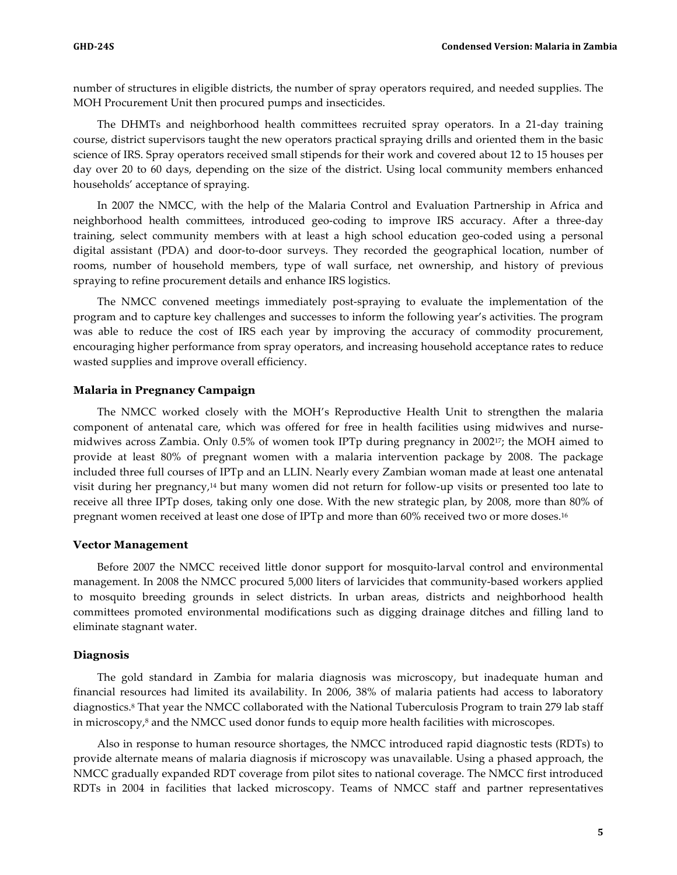number of structures in eligible districts, the number of spray operators required, and needed supplies. The MOH Procurement Unit then procured pumps and insecticides.

The DHMTs and neighborhood health committees recruited spray operators. In a 21-day training course, district supervisors taught the new operators practical spraying drills and oriented them in the basic science of IRS. Spray operators received small stipends for their work and covered about 12 to 15 houses per day over 20 to 60 days, depending on the size of the district. Using local community members enhanced households' acceptance of spraying.

In 2007 the NMCC, with the help of the Malaria Control and Evaluation Partnership in Africa and neighborhood health committees, introduced geo-coding to improve IRS accuracy. After a three-day training, select community members with at least a high school education geo-coded using a personal digital assistant (PDA) and door-to-door surveys. They recorded the geographical location, number of rooms, number of household members, type of wall surface, net ownership, and history of previous spraying to refine procurement details and enhance IRS logistics.

The NMCC convened meetings immediately post-spraying to evaluate the implementation of the program and to capture key challenges and successes to inform the following year's activities. The program was able to reduce the cost of IRS each year by improving the accuracy of commodity procurement, encouraging higher performance from spray operators, and increasing household acceptance rates to reduce wasted supplies and improve overall efficiency.

#### **Malaria in Pregnancy Campaign**

The NMCC worked closely with the MOH's Reproductive Health Unit to strengthen the malaria component of antenatal care, which was offered for free in health facilities using midwives and nursemidwives across Zambia. Only 0.5% of women took IPTp during pregnancy in 200217; the MOH aimed to provide at least 80% of pregnant women with a malaria intervention package by 2008. The package included three full courses of IPTp and an LLIN. Nearly every Zambian woman made at least one antenatal visit during her pregnancy,14 but many women did not return for follow-up visits or presented too late to receive all three IPTp doses, taking only one dose. With the new strategic plan, by 2008, more than 80% of pregnant women received at least one dose of IPTp and more than 60% received two or more doses.16

#### **Vector Management**

Before 2007 the NMCC received little donor support for mosquito-larval control and environmental management. In 2008 the NMCC procured 5,000 liters of larvicides that community-based workers applied to mosquito breeding grounds in select districts. In urban areas, districts and neighborhood health committees promoted environmental modifications such as digging drainage ditches and filling land to eliminate stagnant water.

#### **Diagnosis**

The gold standard in Zambia for malaria diagnosis was microscopy, but inadequate human and financial resources had limited its availability. In 2006, 38% of malaria patients had access to laboratory diagnostics.8 That year the NMCC collaborated with the National Tuberculosis Program to train 279 lab staff in microscopy,<sup>8</sup> and the NMCC used donor funds to equip more health facilities with microscopes.

Also in response to human resource shortages, the NMCC introduced rapid diagnostic tests (RDTs) to provide alternate means of malaria diagnosis if microscopy was unavailable. Using a phased approach, the NMCC gradually expanded RDT coverage from pilot sites to national coverage. The NMCC first introduced RDTs in 2004 in facilities that lacked microscopy. Teams of NMCC staff and partner representatives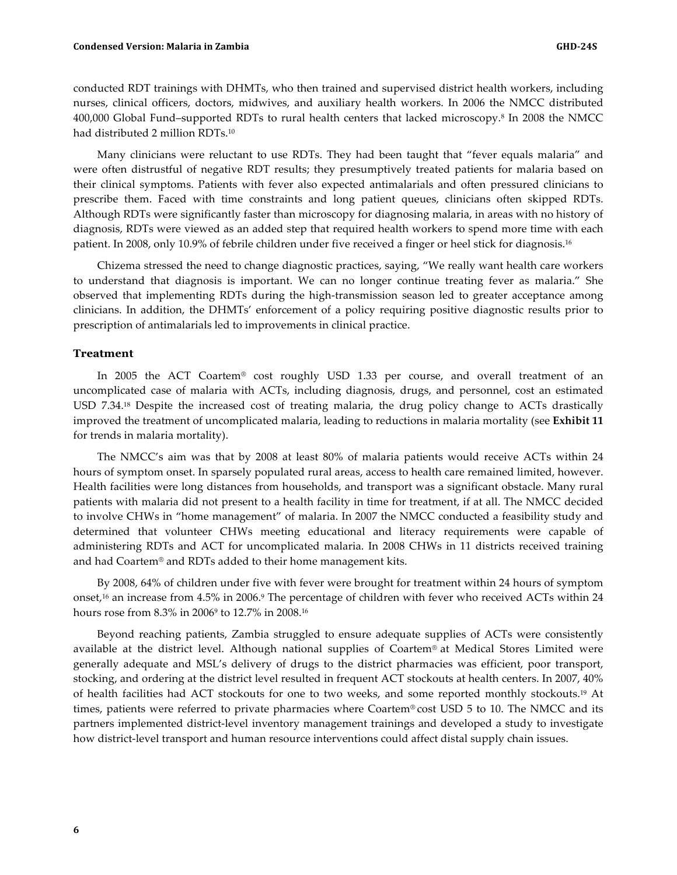conducted RDT trainings with DHMTs, who then trained and supervised district health workers, including nurses, clinical officers, doctors, midwives, and auxiliary health workers. In 2006 the NMCC distributed 400,000 Global Fund–supported RDTs to rural health centers that lacked microscopy.8 In 2008 the NMCC had distributed 2 million RDTs.10

Many clinicians were reluctant to use RDTs. They had been taught that "fever equals malaria" and were often distrustful of negative RDT results; they presumptively treated patients for malaria based on their clinical symptoms. Patients with fever also expected antimalarials and often pressured clinicians to prescribe them. Faced with time constraints and long patient queues, clinicians often skipped RDTs. Although RDTs were significantly faster than microscopy for diagnosing malaria, in areas with no history of diagnosis, RDTs were viewed as an added step that required health workers to spend more time with each patient. In 2008, only 10.9% of febrile children under five received a finger or heel stick for diagnosis.16

Chizema stressed the need to change diagnostic practices, saying, "We really want health care workers to understand that diagnosis is important. We can no longer continue treating fever as malaria." She observed that implementing RDTs during the high-transmission season led to greater acceptance among clinicians. In addition, the DHMTs' enforcement of a policy requiring positive diagnostic results prior to prescription of antimalarials led to improvements in clinical practice.

#### **Treatment**

In 2005 the ACT Coartem<sup>®</sup> cost roughly USD 1.33 per course, and overall treatment of an uncomplicated case of malaria with ACTs, including diagnosis, drugs, and personnel, cost an estimated USD 7.34.18 Despite the increased cost of treating malaria, the drug policy change to ACTs drastically improved the treatment of uncomplicated malaria, leading to reductions in malaria mortality (see **Exhibit 11** for trends in malaria mortality).

The NMCC's aim was that by 2008 at least 80% of malaria patients would receive ACTs within 24 hours of symptom onset. In sparsely populated rural areas, access to health care remained limited, however. Health facilities were long distances from households, and transport was a significant obstacle. Many rural patients with malaria did not present to a health facility in time for treatment, if at all. The NMCC decided to involve CHWs in "home management" of malaria. In 2007 the NMCC conducted a feasibility study and determined that volunteer CHWs meeting educational and literacy requirements were capable of administering RDTs and ACT for uncomplicated malaria. In 2008 CHWs in 11 districts received training and had Coartem® and RDTs added to their home management kits.

By 2008, 64% of children under five with fever were brought for treatment within 24 hours of symptom onset,16 an increase from 4.5% in 2006.9 The percentage of children with fever who received ACTs within 24 hours rose from 8.3% in 20069 to 12.7% in 2008.16

Beyond reaching patients, Zambia struggled to ensure adequate supplies of ACTs were consistently available at the district level. Although national supplies of Coartem® at Medical Stores Limited were generally adequate and MSL's delivery of drugs to the district pharmacies was efficient, poor transport, stocking, and ordering at the district level resulted in frequent ACT stockouts at health centers. In 2007, 40% of health facilities had ACT stockouts for one to two weeks, and some reported monthly stockouts.19 At times, patients were referred to private pharmacies where Coartem® cost USD 5 to 10. The NMCC and its partners implemented district-level inventory management trainings and developed a study to investigate how district-level transport and human resource interventions could affect distal supply chain issues.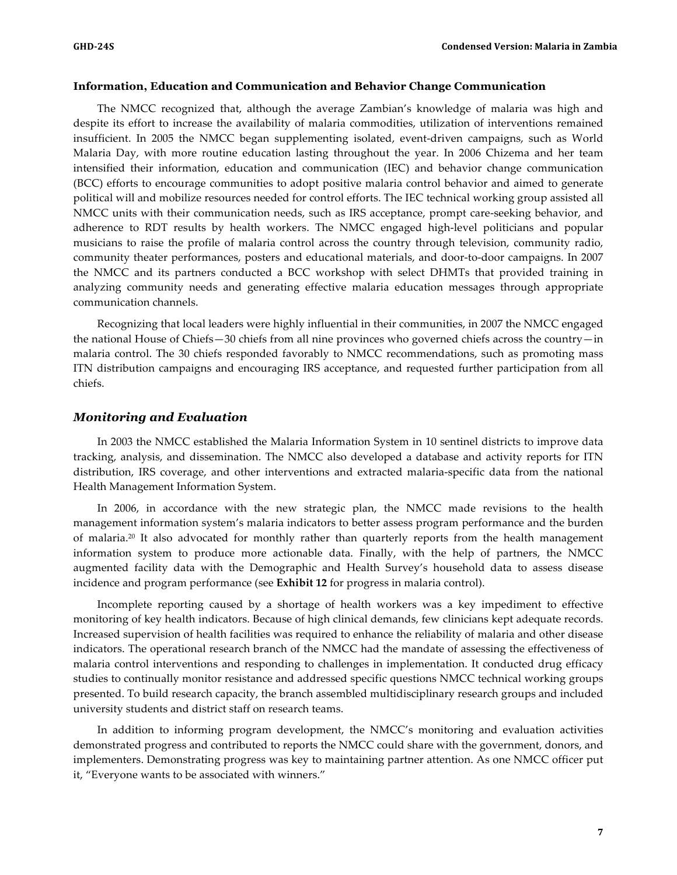#### **Information, Education and Communication and Behavior Change Communication**

The NMCC recognized that, although the average Zambian's knowledge of malaria was high and despite its effort to increase the availability of malaria commodities, utilization of interventions remained insufficient. In 2005 the NMCC began supplementing isolated, event-driven campaigns, such as World Malaria Day, with more routine education lasting throughout the year. In 2006 Chizema and her team intensified their information, education and communication (IEC) and behavior change communication (BCC) efforts to encourage communities to adopt positive malaria control behavior and aimed to generate political will and mobilize resources needed for control efforts. The IEC technical working group assisted all NMCC units with their communication needs, such as IRS acceptance, prompt care-seeking behavior, and adherence to RDT results by health workers. The NMCC engaged high-level politicians and popular musicians to raise the profile of malaria control across the country through television, community radio, community theater performances, posters and educational materials, and door-to-door campaigns. In 2007 the NMCC and its partners conducted a BCC workshop with select DHMTs that provided training in analyzing community needs and generating effective malaria education messages through appropriate communication channels.

Recognizing that local leaders were highly influential in their communities, in 2007 the NMCC engaged the national House of Chiefs—30 chiefs from all nine provinces who governed chiefs across the country—in malaria control. The 30 chiefs responded favorably to NMCC recommendations, such as promoting mass ITN distribution campaigns and encouraging IRS acceptance, and requested further participation from all chiefs.

#### *Monitoring and Evaluation*

In 2003 the NMCC established the Malaria Information System in 10 sentinel districts to improve data tracking, analysis, and dissemination. The NMCC also developed a database and activity reports for ITN distribution, IRS coverage, and other interventions and extracted malaria-specific data from the national Health Management Information System.

In 2006, in accordance with the new strategic plan, the NMCC made revisions to the health management information system's malaria indicators to better assess program performance and the burden of malaria.20 It also advocated for monthly rather than quarterly reports from the health management information system to produce more actionable data. Finally, with the help of partners, the NMCC augmented facility data with the Demographic and Health Survey's household data to assess disease incidence and program performance (see **Exhibit 12** for progress in malaria control).

Incomplete reporting caused by a shortage of health workers was a key impediment to effective monitoring of key health indicators. Because of high clinical demands, few clinicians kept adequate records. Increased supervision of health facilities was required to enhance the reliability of malaria and other disease indicators. The operational research branch of the NMCC had the mandate of assessing the effectiveness of malaria control interventions and responding to challenges in implementation. It conducted drug efficacy studies to continually monitor resistance and addressed specific questions NMCC technical working groups presented. To build research capacity, the branch assembled multidisciplinary research groups and included university students and district staff on research teams.

In addition to informing program development, the NMCC's monitoring and evaluation activities demonstrated progress and contributed to reports the NMCC could share with the government, donors, and implementers. Demonstrating progress was key to maintaining partner attention. As one NMCC officer put it, "Everyone wants to be associated with winners."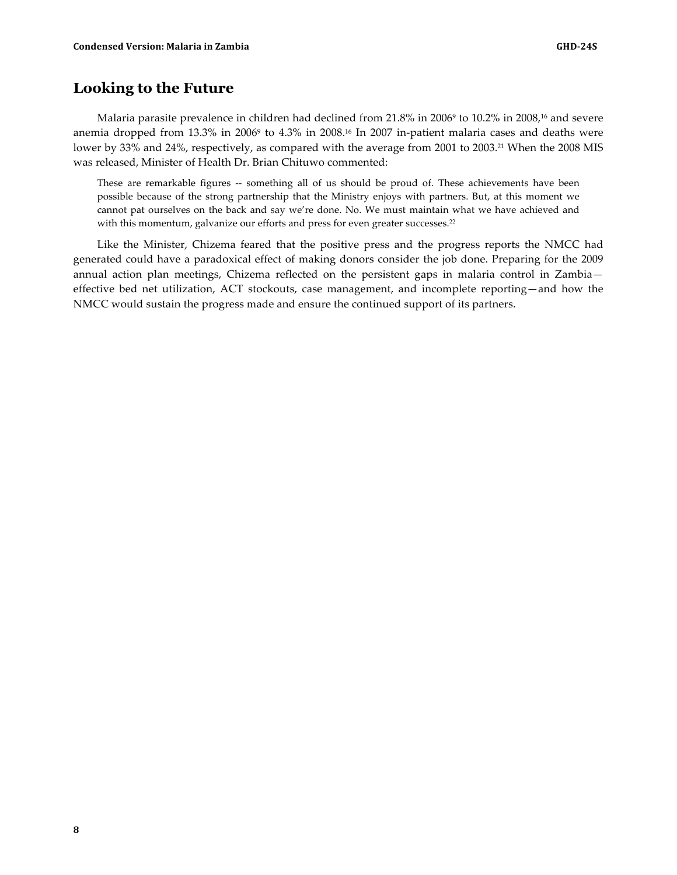### **Looking to the Future**

Malaria parasite prevalence in children had declined from 21.8% in 2006<sup>9</sup> to 10.2% in 2008,<sup>16</sup> and severe anemia dropped from 13.3% in 2006<sup>9</sup> to 4.3% in 2008.<sup>16</sup> In 2007 in-patient malaria cases and deaths were lower by 33% and 24%, respectively, as compared with the average from 2001 to 2003.<sup>21</sup> When the 2008 MIS was released, Minister of Health Dr. Brian Chituwo commented:

These are remarkable figures -- something all of us should be proud of. These achievements have been possible because of the strong partnership that the Ministry enjoys with partners. But, at this moment we cannot pat ourselves on the back and say we're done. No. We must maintain what we have achieved and with this momentum, galvanize our efforts and press for even greater successes.<sup>22</sup>

Like the Minister, Chizema feared that the positive press and the progress reports the NMCC had generated could have a paradoxical effect of making donors consider the job done. Preparing for the 2009 annual action plan meetings, Chizema reflected on the persistent gaps in malaria control in Zambia effective bed net utilization, ACT stockouts, case management, and incomplete reporting—and how the NMCC would sustain the progress made and ensure the continued support of its partners.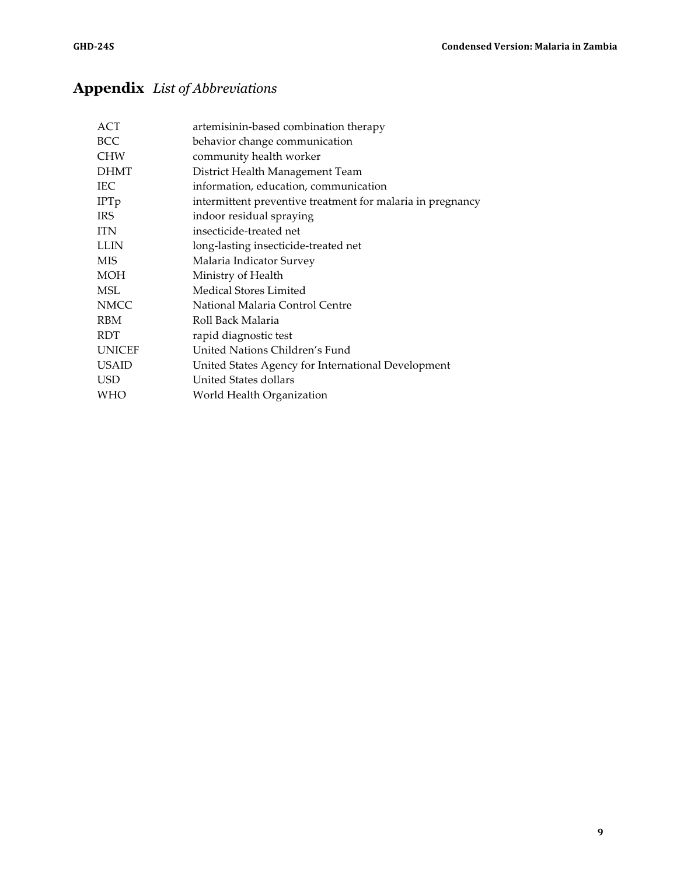# **Appendix** *List of Abbreviations*

| ACT           | artemisinin-based combination therapy                      |
|---------------|------------------------------------------------------------|
| <b>BCC</b>    | behavior change communication                              |
| <b>CHW</b>    | community health worker                                    |
| <b>DHMT</b>   | District Health Management Team                            |
| IEC.          | information, education, communication                      |
| <b>IPTp</b>   | intermittent preventive treatment for malaria in pregnancy |
| <b>IRS</b>    | indoor residual spraying                                   |
| <b>ITN</b>    | insecticide-treated net                                    |
| <b>LLIN</b>   | long-lasting insecticide-treated net                       |
| MIS           | Malaria Indicator Survey                                   |
| <b>MOH</b>    | Ministry of Health                                         |
| MSL           | <b>Medical Stores Limited</b>                              |
| <b>NMCC</b>   | National Malaria Control Centre                            |
| <b>RBM</b>    | Roll Back Malaria                                          |
| RDT           | rapid diagnostic test                                      |
| <b>UNICEF</b> | United Nations Children's Fund                             |
| <b>USAID</b>  | United States Agency for International Development         |
| <b>USD</b>    | United States dollars                                      |
| WHO           | World Health Organization                                  |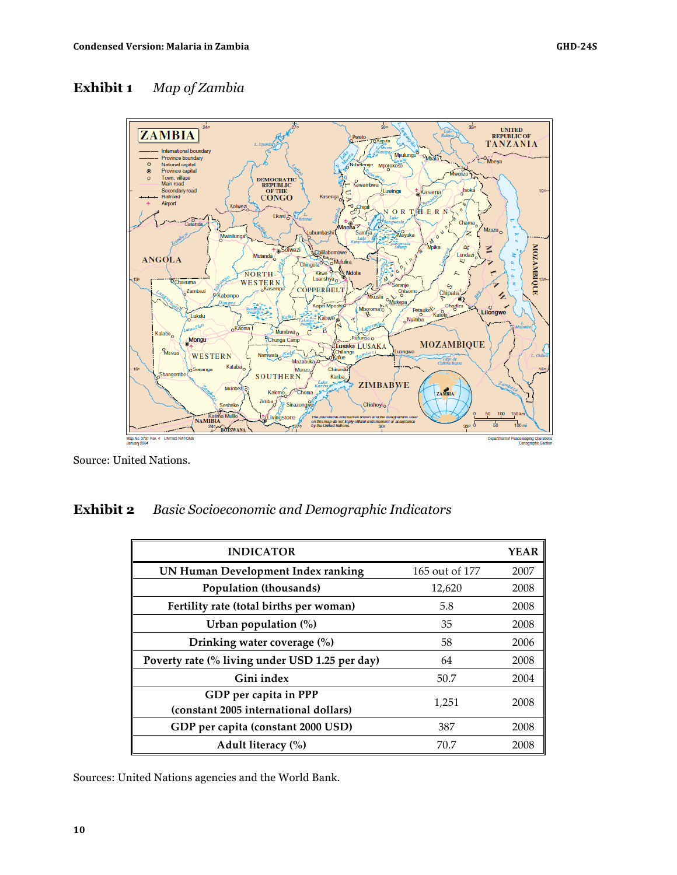# **Exhibit 1** *Map of Zambia*



Source: United Nations.

### **Exhibit 2** *Basic Socioeconomic and Demographic Indicators*

| <b>INDICATOR</b>                                               |                | <b>YEAR</b> |
|----------------------------------------------------------------|----------------|-------------|
| UN Human Development Index ranking                             | 165 out of 177 | 2007        |
| Population (thousands)                                         | 12,620         | 2008        |
| Fertility rate (total births per woman)                        | 5.8            | 2008        |
| Urban population $(\%)$                                        | 35             | 2008        |
| Drinking water coverage (%)                                    | 58             | 2006        |
| Poverty rate (% living under USD 1.25 per day)                 | 64             | 2008        |
| Gini index                                                     | 50.7           | 2004        |
| GDP per capita in PPP<br>(constant 2005 international dollars) | 1,251          | 2008        |
| GDP per capita (constant 2000 USD)                             | 387            | 2008        |
| Adult literacy (%)                                             | 70.7           | 2008        |

Sources: United Nations agencies and the World Bank.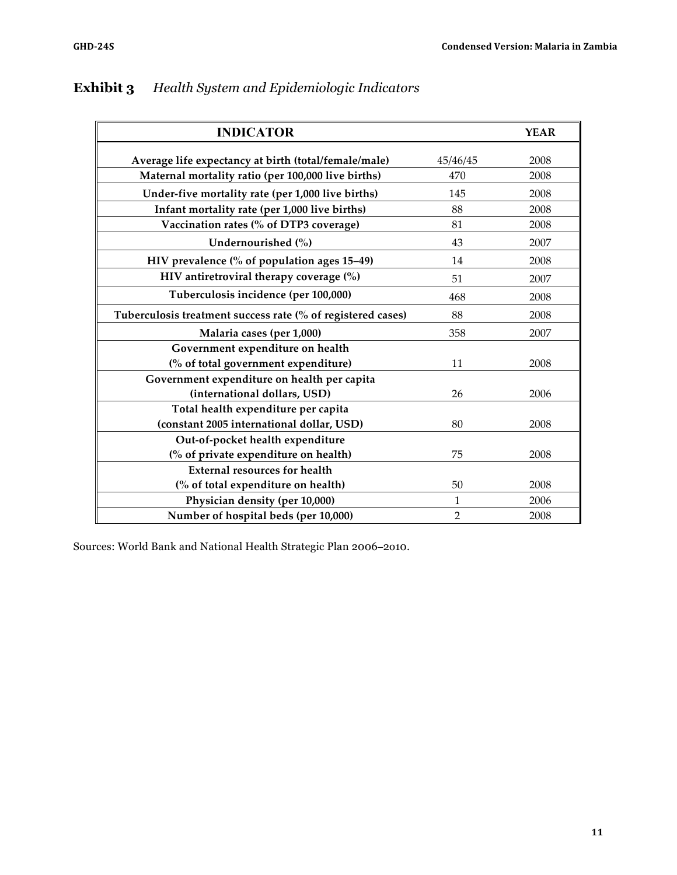| <b>INDICATOR</b>                                            |                | <b>YEAR</b> |
|-------------------------------------------------------------|----------------|-------------|
| Average life expectancy at birth (total/female/male)        | 45/46/45       | 2008        |
| Maternal mortality ratio (per 100,000 live births)          | 470            | 2008        |
| Under-five mortality rate (per 1,000 live births)           | 145            | 2008        |
| Infant mortality rate (per 1,000 live births)               | 88             | 2008        |
| Vaccination rates (% of DTP3 coverage)                      | 81             | 2008        |
| Undernourished (%)                                          | 43             | 2007        |
| HIV prevalence (% of population ages 15–49)                 | 14             | 2008        |
| HIV antiretroviral therapy coverage (%)                     | 51             | 2007        |
| Tuberculosis incidence (per 100,000)                        | 468            | 2008        |
| Tuberculosis treatment success rate (% of registered cases) | 88             | 2008        |
| Malaria cases (per 1,000)                                   | 358            | 2007        |
| Government expenditure on health                            |                |             |
| (% of total government expenditure)                         | 11             | 2008        |
| Government expenditure on health per capita                 |                |             |
| (international dollars, USD)                                | 26             | 2006        |
| Total health expenditure per capita                         |                |             |
| (constant 2005 international dollar, USD)                   | 80             | 2008        |
| Out-of-pocket health expenditure                            |                |             |
| (% of private expenditure on health)                        | 75             | 2008        |
| <b>External resources for health</b>                        |                |             |
| (% of total expenditure on health)                          | 50             | 2008        |
| Physician density (per 10,000)                              | $\mathbf{1}$   | 2006        |
| Number of hospital beds (per 10,000)                        | $\overline{2}$ | 2008        |

# **Exhibit 3** *Health System and Epidemiologic Indicators*

Sources: World Bank and National Health Strategic Plan 2006–2o10.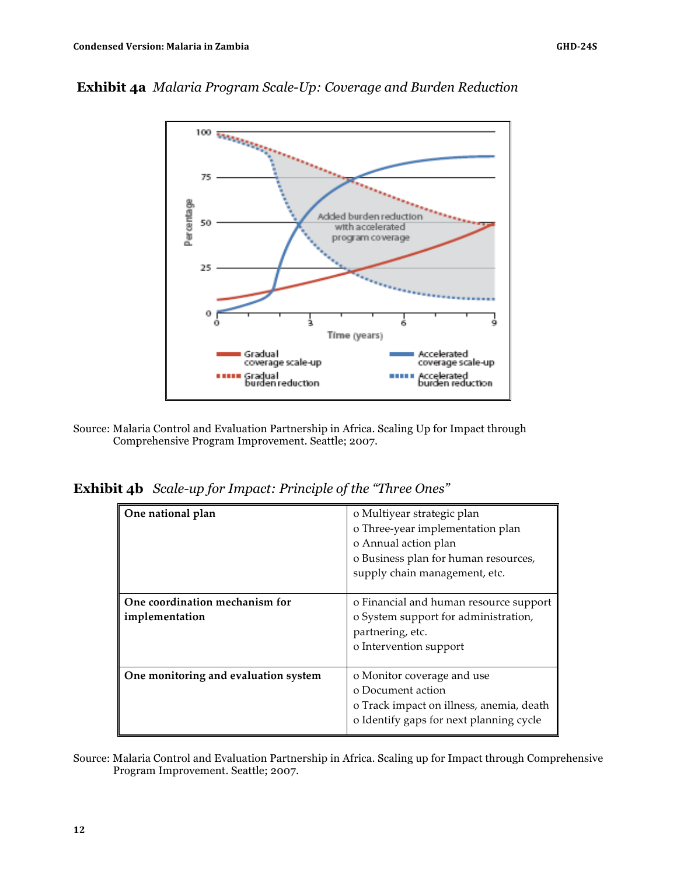

**Exhibit 4a** *Malaria Program Scale-Up: Coverage and Burden Reduction*

Source: Malaria Control and Evaluation Partnership in Africa. Scaling Up for Impact through Comprehensive Program Improvement. Seattle; 2007.

| One national plan                                | o Multiyear strategic plan<br>o Three-year implementation plan<br>o Annual action plan<br>o Business plan for human resources,<br>supply chain management, etc. |
|--------------------------------------------------|-----------------------------------------------------------------------------------------------------------------------------------------------------------------|
| One coordination mechanism for<br>implementation | o Financial and human resource support<br>o System support for administration,<br>partnering, etc.<br>o Intervention support                                    |
| One monitoring and evaluation system             | o Monitor coverage and use<br>o Document action<br>o Track impact on illness, anemia, death<br>o Identify gaps for next planning cycle                          |

**Exhibit 4b** *Scale-up for Impact: Principle of the "Three Ones"*

Source: Malaria Control and Evaluation Partnership in Africa. Scaling up for Impact through Comprehensive Program Improvement. Seattle; 2007.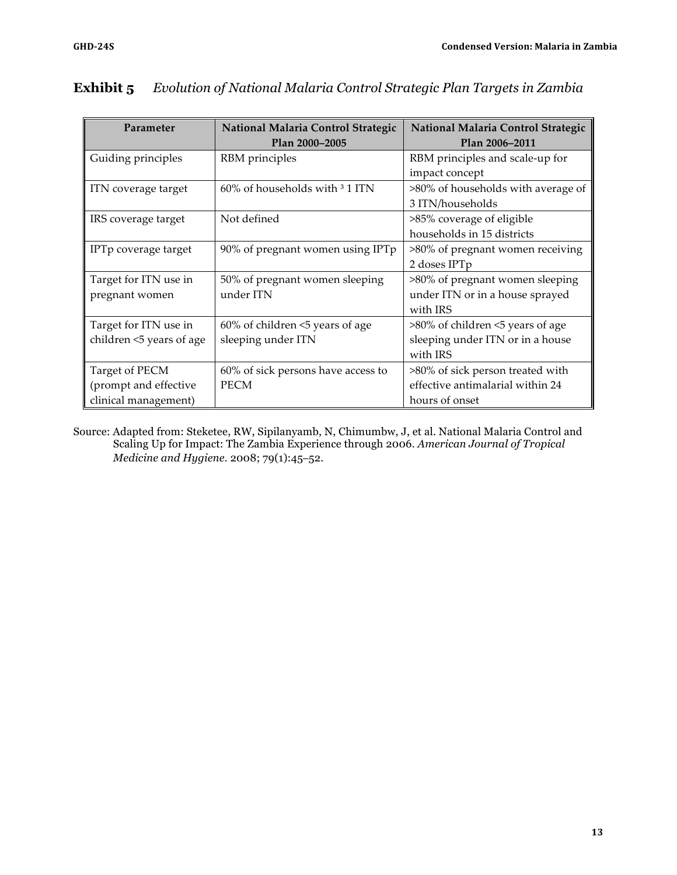| Parameter                | National Malaria Control Strategic<br>Plan 2000-2005 | National Malaria Control Strategic<br>Plan 2006-2011 |
|--------------------------|------------------------------------------------------|------------------------------------------------------|
| Guiding principles       | RBM principles                                       | RBM principles and scale-up for                      |
|                          |                                                      | impact concept                                       |
| ITN coverage target      | $60\%$ of households with $31$ ITN                   | >80% of households with average of                   |
|                          |                                                      | 3 ITN/households                                     |
| IRS coverage target      | Not defined                                          | >85% coverage of eligible                            |
|                          |                                                      | households in 15 districts                           |
| IPTp coverage target     | 90% of pregnant women using IPTp                     | >80% of pregnant women receiving                     |
|                          |                                                      | 2 doses IPTp                                         |
| Target for ITN use in    | 50% of pregnant women sleeping                       | >80% of pregnant women sleeping                      |
| pregnant women           | under ITN                                            | under ITN or in a house sprayed                      |
|                          |                                                      | with IRS                                             |
| Target for ITN use in    | 60% of children <5 years of age                      | >80% of children <5 years of age                     |
| children <5 years of age | sleeping under ITN                                   | sleeping under ITN or in a house                     |
|                          |                                                      | with IRS                                             |
| Target of PECM           | 60% of sick persons have access to                   | >80% of sick person treated with                     |
| (prompt and effective    | <b>PECM</b>                                          | effective antimalarial within 24                     |
| clinical management)     |                                                      | hours of onset                                       |

# **Exhibit 5** *Evolution of National Malaria Control Strategic Plan Targets in Zambia*

Source: Adapted from: Steketee, RW, Sipilanyamb, N, Chimumbw, J, et al. National Malaria Control and Scaling Up for Impact: The Zambia Experience through 2006. *American Journal of Tropical Medicine and Hygiene.* 2008; 79(1):45–52.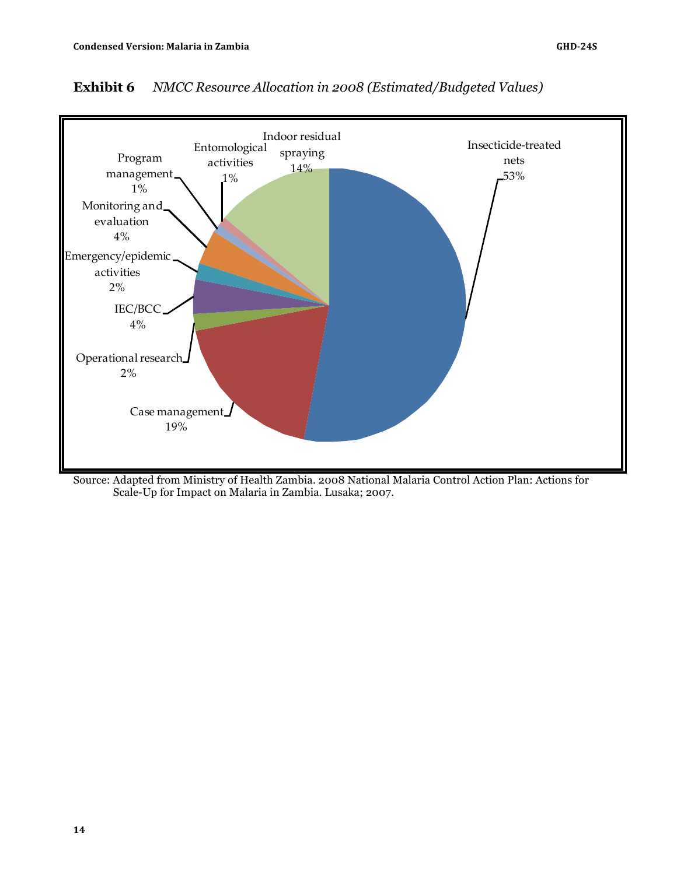

**Exhibit 6** *NMCC Resource Allocation in 2008 (Estimated/Budgeted Values)*

Source: Adapted from Ministry of Health Zambia. 2008 National Malaria Control Action Plan: Actions for Scale-Up for Impact on Malaria in Zambia. Lusaka; 2007.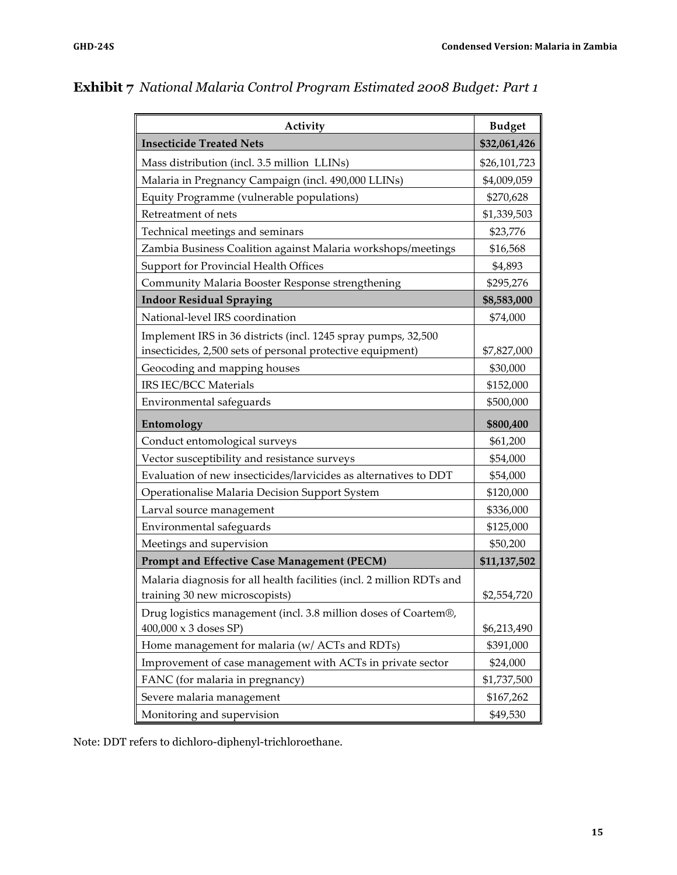| Activity                                                              | <b>Budget</b> |
|-----------------------------------------------------------------------|---------------|
| <b>Insecticide Treated Nets</b>                                       | \$32,061,426  |
| Mass distribution (incl. 3.5 million LLINs)                           | \$26,101,723  |
| Malaria in Pregnancy Campaign (incl. 490,000 LLINs)                   | \$4,009,059   |
| Equity Programme (vulnerable populations)                             | \$270,628     |
| Retreatment of nets                                                   | \$1,339,503   |
| Technical meetings and seminars                                       | \$23,776      |
| Zambia Business Coalition against Malaria workshops/meetings          | \$16,568      |
| Support for Provincial Health Offices                                 | \$4,893       |
| Community Malaria Booster Response strengthening                      | \$295,276     |
| <b>Indoor Residual Spraying</b>                                       | \$8,583,000   |
| National-level IRS coordination                                       | \$74,000      |
| Implement IRS in 36 districts (incl. 1245 spray pumps, 32,500         |               |
| insecticides, 2,500 sets of personal protective equipment)            | \$7,827,000   |
| Geocoding and mapping houses                                          | \$30,000      |
| IRS IEC/BCC Materials                                                 | \$152,000     |
| Environmental safeguards                                              | \$500,000     |
| Entomology                                                            | \$800,400     |
| Conduct entomological surveys                                         | \$61,200      |
| Vector susceptibility and resistance surveys                          | \$54,000      |
| Evaluation of new insecticides/larvicides as alternatives to DDT      | \$54,000      |
| Operationalise Malaria Decision Support System                        | \$120,000     |
| Larval source management                                              | \$336,000     |
| Environmental safeguards                                              | \$125,000     |
| Meetings and supervision                                              | \$50,200      |
| Prompt and Effective Case Management (PECM)                           | \$11,137,502  |
| Malaria diagnosis for all health facilities (incl. 2 million RDTs and |               |
| training 30 new microscopists)                                        | \$2,554,720   |
| Drug logistics management (incl. 3.8 million doses of Coartem®,       |               |
| $400,000 \times 3$ doses SP)                                          | \$6,213,490   |
| Home management for malaria (w/ ACTs and RDTs)                        | \$391,000     |
| Improvement of case management with ACTs in private sector            | \$24,000      |
| FANC (for malaria in pregnancy)                                       | \$1,737,500   |
| Severe malaria management                                             | \$167,262     |
| Monitoring and supervision                                            | \$49,530      |

# **Exhibit 7** *National Malaria Control Program Estimated 2008 Budget: Part 1*

Note: DDT refers to dichloro-diphenyl-trichloroethane.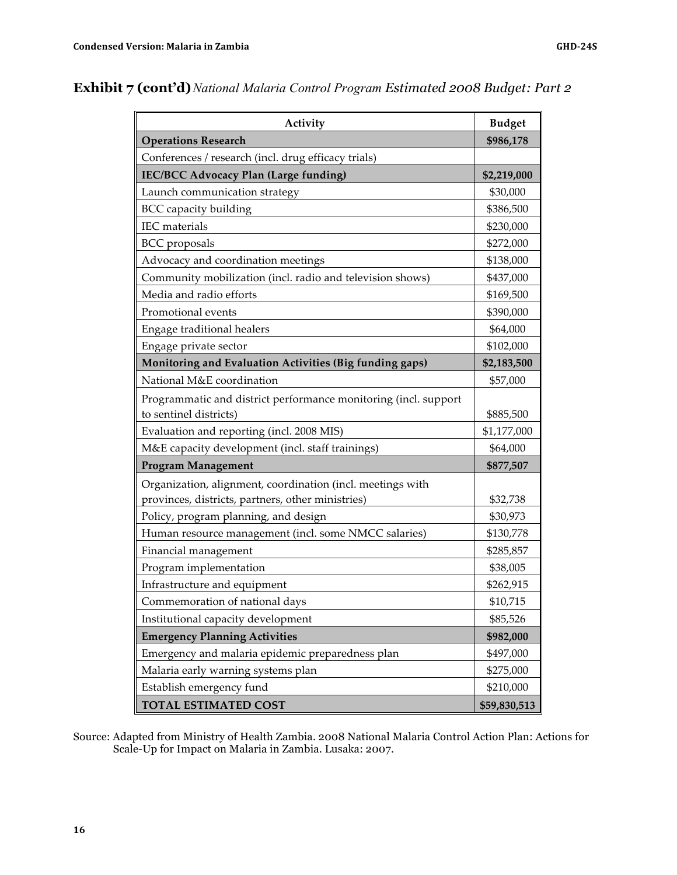| Activity                                                                                  |              |  |
|-------------------------------------------------------------------------------------------|--------------|--|
| <b>Operations Research</b>                                                                | \$986,178    |  |
| Conferences / research (incl. drug efficacy trials)                                       |              |  |
| <b>IEC/BCC Advocacy Plan (Large funding)</b>                                              | \$2,219,000  |  |
| Launch communication strategy                                                             | \$30,000     |  |
| <b>BCC</b> capacity building                                                              | \$386,500    |  |
| <b>IEC</b> materials                                                                      | \$230,000    |  |
| <b>BCC</b> proposals                                                                      | \$272,000    |  |
| Advocacy and coordination meetings                                                        | \$138,000    |  |
| Community mobilization (incl. radio and television shows)                                 | \$437,000    |  |
| Media and radio efforts                                                                   | \$169,500    |  |
| Promotional events                                                                        | \$390,000    |  |
| Engage traditional healers                                                                | \$64,000     |  |
| Engage private sector                                                                     | \$102,000    |  |
| Monitoring and Evaluation Activities (Big funding gaps)                                   | \$2,183,500  |  |
| National M&E coordination                                                                 | \$57,000     |  |
| Programmatic and district performance monitoring (incl. support<br>to sentinel districts) | \$885,500    |  |
| Evaluation and reporting (incl. 2008 MIS)                                                 | \$1,177,000  |  |
| M&E capacity development (incl. staff trainings)                                          | \$64,000     |  |
| <b>Program Management</b>                                                                 | \$877,507    |  |
| Organization, alignment, coordination (incl. meetings with                                |              |  |
| provinces, districts, partners, other ministries)                                         | \$32,738     |  |
| Policy, program planning, and design                                                      | \$30,973     |  |
| Human resource management (incl. some NMCC salaries)                                      | \$130,778    |  |
| Financial management                                                                      | \$285,857    |  |
| Program implementation                                                                    | \$38,005     |  |
| Infrastructure and equipment                                                              | \$262,915    |  |
| Commemoration of national days                                                            | \$10,715     |  |
| Institutional capacity development                                                        | \$85,526     |  |
| <b>Emergency Planning Activities</b>                                                      | \$982,000    |  |
| Emergency and malaria epidemic preparedness plan                                          | \$497,000    |  |
| Malaria early warning systems plan                                                        | \$275,000    |  |
| Establish emergency fund                                                                  | \$210,000    |  |
| TOTAL ESTIMATED COST                                                                      | \$59,830,513 |  |

# **Exhibit 7 (cont'd)***National Malaria Control Program Estimated 2008 Budget: Part 2*

Source: Adapted from Ministry of Health Zambia. 2008 National Malaria Control Action Plan: Actions for Scale-Up for Impact on Malaria in Zambia. Lusaka: 2007.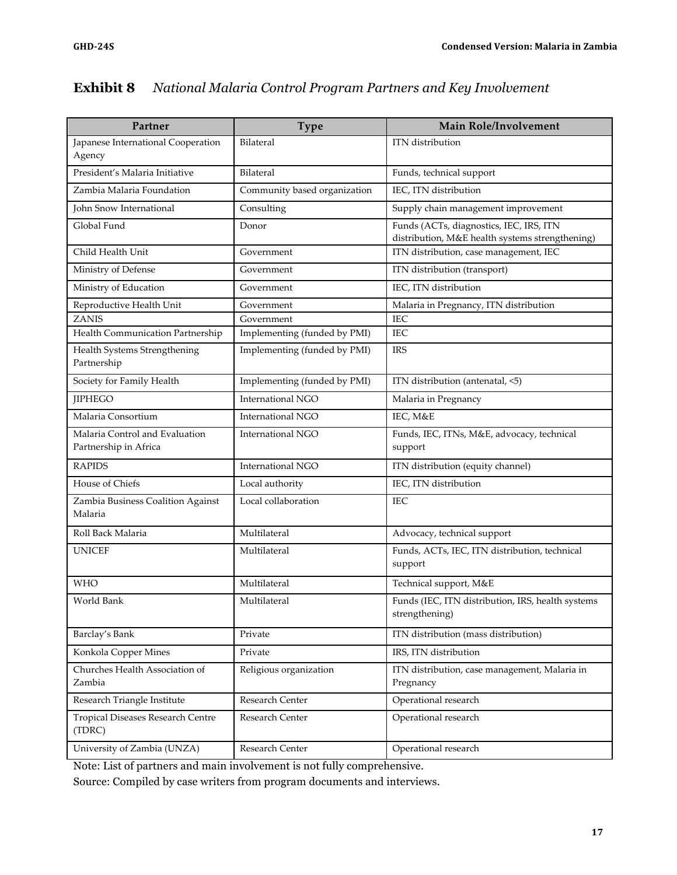# **Exhibit 8** *National Malaria Control Program Partners and Key Involvement*

| Partner                                                 | <b>Type</b>                  | <b>Main Role/Involvement</b>                                                               |
|---------------------------------------------------------|------------------------------|--------------------------------------------------------------------------------------------|
| Japanese International Cooperation                      | Bilateral                    | ITN distribution                                                                           |
| Agency                                                  |                              |                                                                                            |
| President's Malaria Initiative                          | Bilateral                    | Funds, technical support                                                                   |
| Zambia Malaria Foundation                               | Community based organization | IEC, ITN distribution                                                                      |
| John Snow International                                 | Consulting                   | Supply chain management improvement                                                        |
| Global Fund                                             | Donor                        | Funds (ACTs, diagnostics, IEC, IRS, ITN<br>distribution, M&E health systems strengthening) |
| Child Health Unit                                       | Government                   | ITN distribution, case management, IEC                                                     |
| Ministry of Defense                                     | Government                   | ITN distribution (transport)                                                               |
| Ministry of Education                                   | Government                   | IEC, ITN distribution                                                                      |
| Reproductive Health Unit                                | Government                   | Malaria in Pregnancy, ITN distribution                                                     |
| <b>ZANIS</b>                                            | Government                   | <b>IEC</b>                                                                                 |
| Health Communication Partnership                        | Implementing (funded by PMI) | <b>IEC</b>                                                                                 |
| Health Systems Strengthening<br>Partnership             | Implementing (funded by PMI) | <b>IRS</b>                                                                                 |
| Society for Family Health                               | Implementing (funded by PMI) | ITN distribution (antenatal, <5)                                                           |
| <b>JIPHEGO</b>                                          | <b>International NGO</b>     | Malaria in Pregnancy                                                                       |
| Malaria Consortium                                      | <b>International NGO</b>     | IEC, M&E                                                                                   |
| Malaria Control and Evaluation<br>Partnership in Africa | <b>International NGO</b>     | Funds, IEC, ITNs, M&E, advocacy, technical<br>support                                      |
| <b>RAPIDS</b>                                           | International NGO            | ITN distribution (equity channel)                                                          |
| House of Chiefs                                         | Local authority              | IEC, ITN distribution                                                                      |
| Zambia Business Coalition Against<br>Malaria            | Local collaboration          | <b>IEC</b>                                                                                 |
| Roll Back Malaria                                       | Multilateral                 | Advocacy, technical support                                                                |
| <b>UNICEF</b>                                           | Multilateral                 | Funds, ACTs, IEC, ITN distribution, technical<br>support                                   |
| <b>WHO</b>                                              | Multilateral                 | Technical support, M&E                                                                     |
| World Bank                                              | Multilateral                 | Funds (IEC, ITN distribution, IRS, health systems<br>strengthening)                        |
| Barclay's Bank                                          | Private                      | ITN distribution (mass distribution)                                                       |
| Konkola Copper Mines                                    | Private                      | IRS, ITN distribution                                                                      |
| Churches Health Association of<br>Zambia                | Religious organization       | ITN distribution, case management, Malaria in<br>Pregnancy                                 |
| Research Triangle Institute                             | Research Center              | Operational research                                                                       |
| Tropical Diseases Research Centre<br>(TDRC)             | Research Center              | Operational research                                                                       |
| University of Zambia (UNZA)                             | Research Center              | Operational research                                                                       |

Note: List of partners and main involvement is not fully comprehensive.

Source: Compiled by case writers from program documents and interviews.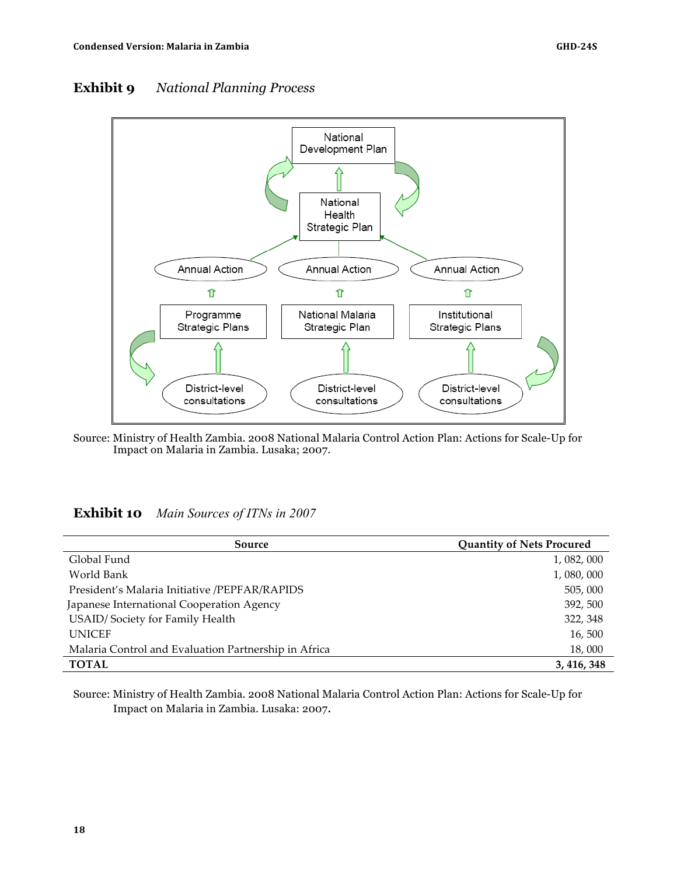### **Exhibit 9** *National Planning Process*



Source: Ministry of Health Zambia. 2008 National Malaria Control Action Plan: Actions for Scale-Up for Impact on Malaria in Zambia. Lusaka; 2007.

### **Exhibit 10** *Main Sources of ITNs in 2007*

| Source                                               | <b>Quantity of Nets Procured</b> |
|------------------------------------------------------|----------------------------------|
| Global Fund                                          | 1,082,000                        |
| World Bank                                           | 1,080,000                        |
| President's Malaria Initiative /PEPFAR/RAPIDS        | 505,000                          |
| Japanese International Cooperation Agency            | 392, 500                         |
| USAID/Society for Family Health                      | 322, 348                         |
| <b>UNICEF</b>                                        | 16,500                           |
| Malaria Control and Evaluation Partnership in Africa | 18,000                           |
| <b>TOTAL</b>                                         | 3, 416, 348                      |

Source: Ministry of Health Zambia. 2008 National Malaria Control Action Plan: Actions for Scale-Up for Impact on Malaria in Zambia. Lusaka: 2007.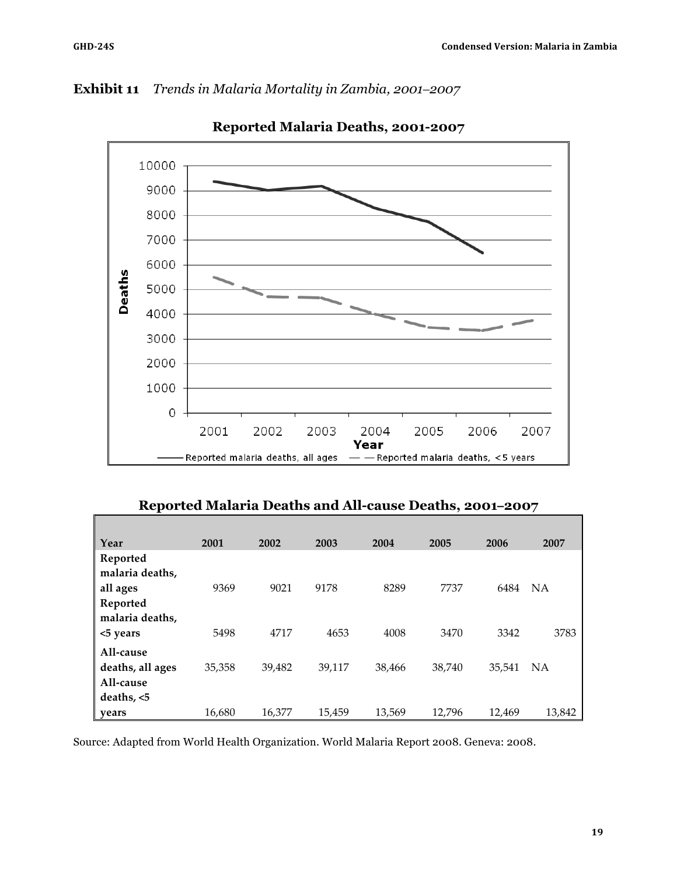### **Exhibit 11** *Trends in Malaria Mortality in Zambia, 2001–2007*



**Reported Malaria Deaths, 2001-2007**

### **Reported Malaria Deaths and All-cause Deaths, 2001–2007**

| Year             | 2001   | 2002   | 2003   | 2004   | 2005   | 2006   | 2007      |
|------------------|--------|--------|--------|--------|--------|--------|-----------|
| Reported         |        |        |        |        |        |        |           |
| malaria deaths,  |        |        |        |        |        |        |           |
| all ages         | 9369   | 9021   | 9178   | 8289   | 7737   | 6484   | <b>NA</b> |
| Reported         |        |        |        |        |        |        |           |
| malaria deaths,  |        |        |        |        |        |        |           |
| $5 \sqrt{2}$     | 5498   | 4717   | 4653   | 4008   | 3470   | 3342   | 3783      |
| All-cause        |        |        |        |        |        |        |           |
| deaths, all ages | 35.358 | 39,482 | 39,117 | 38,466 | 38,740 | 35.541 | <b>NA</b> |
| All-cause        |        |        |        |        |        |        |           |
| deaths, $<$ 5    |        |        |        |        |        |        |           |
| years            | 16,680 | 16,377 | 15,459 | 13,569 | 12.796 | 12,469 | 13,842    |

Source: Adapted from World Health Organization. World Malaria Report 2008. Geneva: 2008.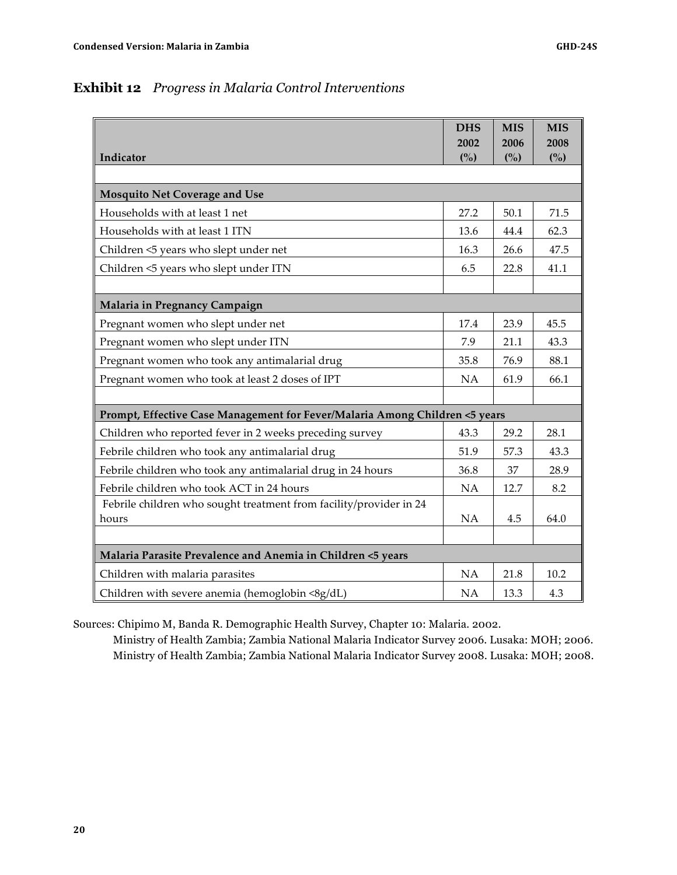# **Exhibit 12** *Progress in Malaria Control Interventions*

|                                                                             | <b>DHS</b><br>2002 | <b>MIS</b><br>2006 | <b>MIS</b><br>2008 |
|-----------------------------------------------------------------------------|--------------------|--------------------|--------------------|
| Indicator                                                                   | (%)                | (%)                | (%)                |
|                                                                             |                    |                    |                    |
| <b>Mosquito Net Coverage and Use</b>                                        |                    |                    |                    |
| Households with at least 1 net                                              | 27.2               | 50.1               | 71.5               |
| Households with at least 1 ITN                                              | 13.6               | 44.4               | 62.3               |
| Children <5 years who slept under net                                       | 16.3               | 26.6               | 47.5               |
| Children <5 years who slept under ITN                                       | 6.5                | 22.8               | 41.1               |
|                                                                             |                    |                    |                    |
| Malaria in Pregnancy Campaign                                               |                    |                    |                    |
| Pregnant women who slept under net                                          | 17.4               | 23.9               | 45.5               |
| Pregnant women who slept under ITN                                          | 7.9                | 21.1               | 43.3               |
| Pregnant women who took any antimalarial drug                               | 35.8               | 76.9               | 88.1               |
| Pregnant women who took at least 2 doses of IPT                             |                    | 61.9               | 66.1               |
|                                                                             |                    |                    |                    |
| Prompt, Effective Case Management for Fever/Malaria Among Children <5 years |                    |                    |                    |
| Children who reported fever in 2 weeks preceding survey                     | 43.3               | 29.2               | 28.1               |
| Febrile children who took any antimalarial drug                             | 51.9               | 57.3               | 43.3               |
| Febrile children who took any antimalarial drug in 24 hours                 | 36.8               | 37                 | 28.9               |
| Febrile children who took ACT in 24 hours                                   | <b>NA</b>          | 12.7               | 8.2                |
| Febrile children who sought treatment from facility/provider in 24          |                    |                    |                    |
| hours                                                                       | NA                 | 4.5                | 64.0               |
|                                                                             |                    |                    |                    |
| Malaria Parasite Prevalence and Anemia in Children <5 years                 |                    |                    |                    |
| Children with malaria parasites                                             | NA                 | 21.8               | 10.2               |
| Children with severe anemia (hemoglobin <8g/dL)                             | NA                 | 13.3               | 4.3                |

Sources: Chipimo M, Banda R. Demographic Health Survey, Chapter 10: Malaria*.* 2002.

Ministry of Health Zambia; Zambia National Malaria Indicator Survey 2006. Lusaka: MOH; 2006. Ministry of Health Zambia; Zambia National Malaria Indicator Survey 2008. Lusaka: MOH; 2008.